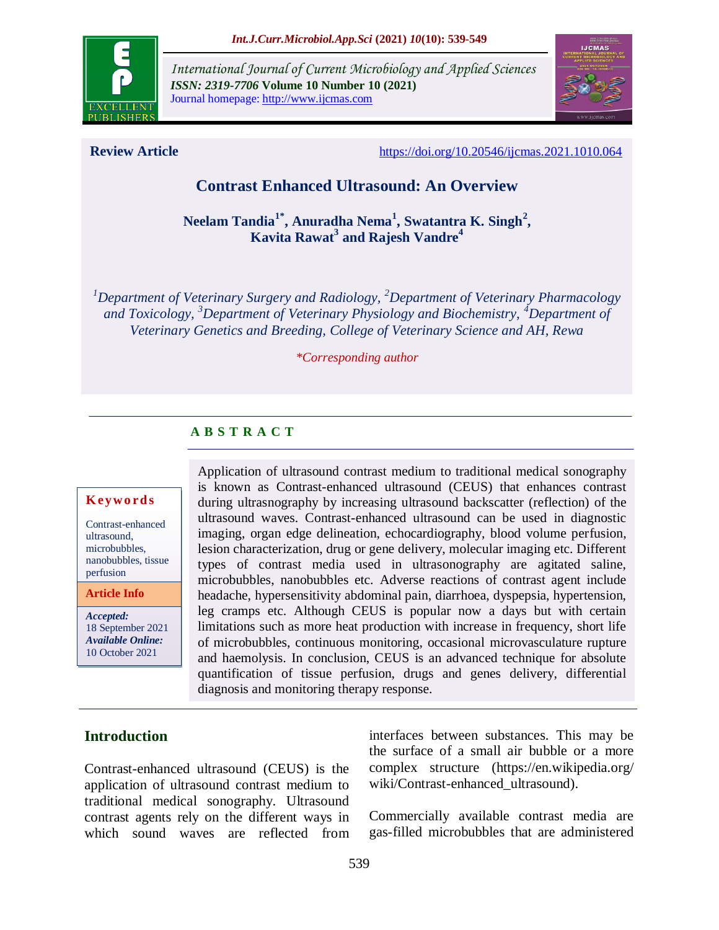

*International Journal of Current Microbiology and Applied Sciences ISSN: 2319-7706* **Volume 10 Number 10 (2021)**  Journal homepage: http://www.ijcmas.com



**Review Article** <https://doi.org/10.20546/ijcmas.2021.1010.064>

# **Contrast Enhanced Ultrasound: An Overview**

**Neelam Tandia1\*, Anuradha Nema<sup>1</sup> , Swatantra K. Singh<sup>2</sup> , Kavita Rawat<sup>3</sup> and Rajesh Vandre<sup>4</sup>**

*<sup>1</sup>Department of Veterinary Surgery and Radiology, <sup>2</sup>Department of Veterinary Pharmacology and Toxicology, <sup>3</sup>Department of Veterinary Physiology and Biochemistry, <sup>4</sup>Department of Veterinary Genetics and Breeding, College of Veterinary Science and AH, Rewa*

#### *\*Corresponding author*

## **A B S T R A C T**

#### **K ey w o rd s**

Contrast-enhanced ultrasound, microbubbles, nanobubbles, tissue perfusion

**Article Info**

*Accepted:*  18 September 2021 *Available Online:* 10 October 2021

Application of [ultrasound](https://en.wikipedia.org/wiki/Ultrasound) [contrast medium](https://en.wikipedia.org/wiki/Contrast_medium) to traditional [medical sonography](https://en.wikipedia.org/wiki/Medical_ultrasonography) is known as Contrast-enhanced ultrasound (CEUS) that enhances contrast during ultrasnography by increasing ultrasound [backscatter](https://en.wikipedia.org/wiki/Backscatter) (reflection) of the ultrasound waves. Contrast-enhanced ultrasound can be used in diagnostic imaging, organ edge delineation, echocardiography, blood volume perfusion, lesion characterization, drug or gene delivery, molecular imaging etc. Different types of contrast media used in ultrasonography are agitated saline, microbubbles, nanobubbles etc. Adverse reactions of contrast agent include headache, hypersensitivity abdominal pain, diarrhoea, dyspepsia, hypertension, leg cramps etc. Although CEUS is popular now a days but with certain limitations such as more heat production with increase in frequency, short life of microbubbles, continuous monitoring, occasional microvasculature rupture and haemolysis. In conclusion, CEUS is an advanced technique for absolute quantification of tissue perfusion, drugs and genes delivery, differential diagnosis and monitoring therapy response.

## **Introduction**

Contrast-enhanced ultrasound (CEUS) is the application of [ultrasound](https://en.wikipedia.org/wiki/Ultrasound) [contrast medium](https://en.wikipedia.org/wiki/Contrast_medium) to traditional [medical sonography.](https://en.wikipedia.org/wiki/Medical_ultrasonography) Ultrasound contrast agents rely on the different ways in which sound waves are reflected from interfaces between substances. This may be the surface of a small air bubble or a more complex structure [\(https://en.wikipedia.org/](https://en.wikipedia.org/) wiki/Contrast-enhanced\_ultrasound).

Commercially available contrast media are gas-filled [microbubbles](https://en.wikipedia.org/wiki/Microbubbles) that are administered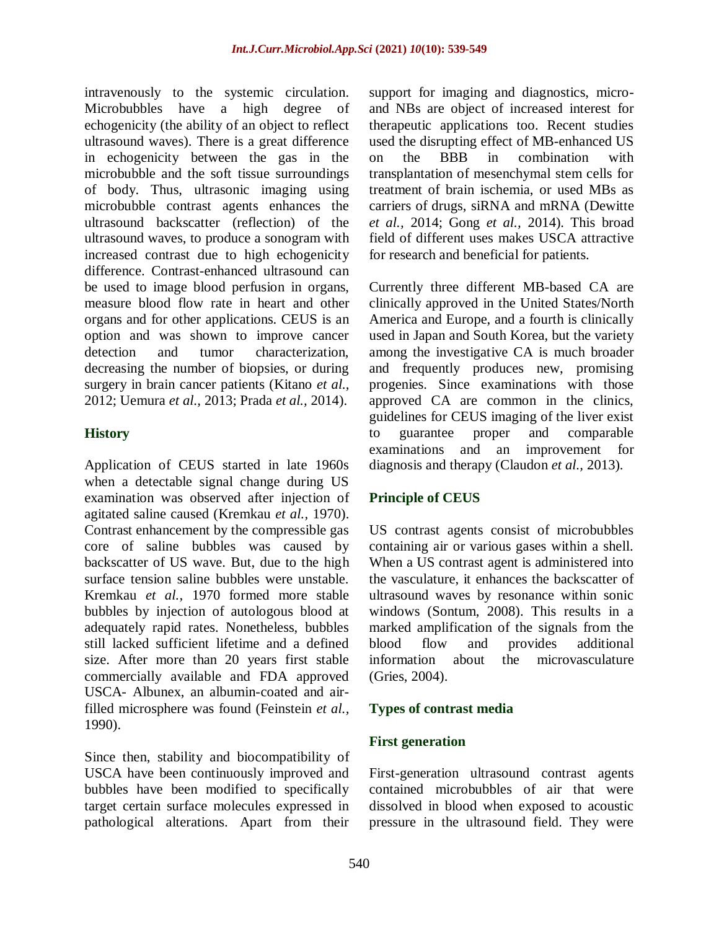intravenously to the [systemic circulation.](https://en.wikipedia.org/wiki/Circulatory_system) Microbubbles have a high degree of [echogenicity](https://en.wikipedia.org/wiki/Echogenicity) (the ability of an object to reflect ultrasound waves). There is a great difference in echogenicity between the gas in the microbubble and the soft [tissue](https://en.wikipedia.org/wiki/Biological_tissue) surroundings of body. Thus, [ultrasonic imaging](https://en.wikipedia.org/wiki/Medical_ultrasonography) using microbubble contrast agents enhances the ultrasound [backscatter](https://en.wikipedia.org/wiki/Backscatter) (reflection) of the ultrasound waves, to produce a [sonogram](https://en.wikipedia.org/wiki/Medical_ultrasonography) with increased contrast due to high echogenicity difference. Contrast-enhanced ultrasound can be used to image blood [perfusion](https://en.wikipedia.org/wiki/Perfusion) in organs, measure [blood flow](https://en.wikipedia.org/wiki/Blood_flow) rate in [heart](https://en.wikipedia.org/wiki/Heart) and other organs and for other applications. CEUS is an option and was shown to improve cancer detection and tumor characterization, decreasing the number of biopsies, or during surgery in brain cancer patients [\(Kitano](https://www.ncbi.nlm.nih.gov/pmc/articles/PMC4584939/#B68) *et al.,* [2012;](https://www.ncbi.nlm.nih.gov/pmc/articles/PMC4584939/#B68) [Uemura](https://www.ncbi.nlm.nih.gov/pmc/articles/PMC4584939/#B126) *et al.,* 2013; [Prada](https://www.ncbi.nlm.nih.gov/pmc/articles/PMC4584939/#B104) *et al.,* 2014).

## **History**

Application of CEUS started in late 1960s when a detectable signal change during US examination was observed after injection of agitated saline caused (Kremkau *et al.,* 1970). Contrast enhancement by the compressible gas core of saline bubbles was caused by backscatter of US wave. But, due to the high surface tension saline bubbles were unstable. [Kremkau](https://www.ncbi.nlm.nih.gov/pmc/articles/PMC4584939/#B71) *et al.,* 1970 formed more stable bubbles by injection of autologous blood at adequately rapid rates. Nonetheless, bubbles still lacked sufficient lifetime and a defined size. After more than 20 years first stable commercially available and FDA approved USCA- Albunex, an albumin-coated and airfilled microsphere was found (Feinstein *et al.,* 1990).

Since then, stability and biocompatibility of USCA have been continuously improved and bubbles have been modified to specifically target certain surface molecules expressed in pathological alterations. Apart from their

support for imaging and diagnostics, microand NBs are object of increased interest for therapeutic applications too. Recent studies used the disrupting effect of MB-enhanced US on the BBB in combination with transplantation of mesenchymal stem cells for treatment of brain ischemia, or used MBs as carriers of drugs, siRNA and mRNA [\(Dewitte](https://www.ncbi.nlm.nih.gov/pmc/articles/PMC4584939/#B31)  *[et al.,](https://www.ncbi.nlm.nih.gov/pmc/articles/PMC4584939/#B31)* 2014; [Gong](https://www.ncbi.nlm.nih.gov/pmc/articles/PMC4584939/#B45) *et al.,* 2014). This broad field of different uses makes USCA attractive for research and beneficial for patients.

Currently three different MB-based CA are clinically approved in the United States/North America and Europe, and a fourth is clinically used in Japan and South Korea, but the variety among the investigative CA is much broader and frequently produces new, promising progenies. Since examinations with those approved CA are common in the clinics, guidelines for CEUS imaging of the liver exist to guarantee proper and comparable examinations and an improvement for diagnosis and therapy [\(Claudon](https://www.ncbi.nlm.nih.gov/pmc/articles/PMC4584939/#B18) *et al.,* 2013).

# **Principle of CEUS**

US contrast agents consist of microbubbles containing air or various gases within a shell. When a US contrast agent is administered into the vasculature, it enhances the backscatter of ultrasound waves by resonance within sonic windows (Sontum, 2008). This results in a marked amplification of the signals from the blood flow and provides additional information about the microvasculature (Gries, 2004).

# **Types of contrast media**

## **First generation**

First-generation ultrasound contrast agents contained microbubbles of air that were dissolved in blood when exposed to acoustic pressure in the ultrasound field. They were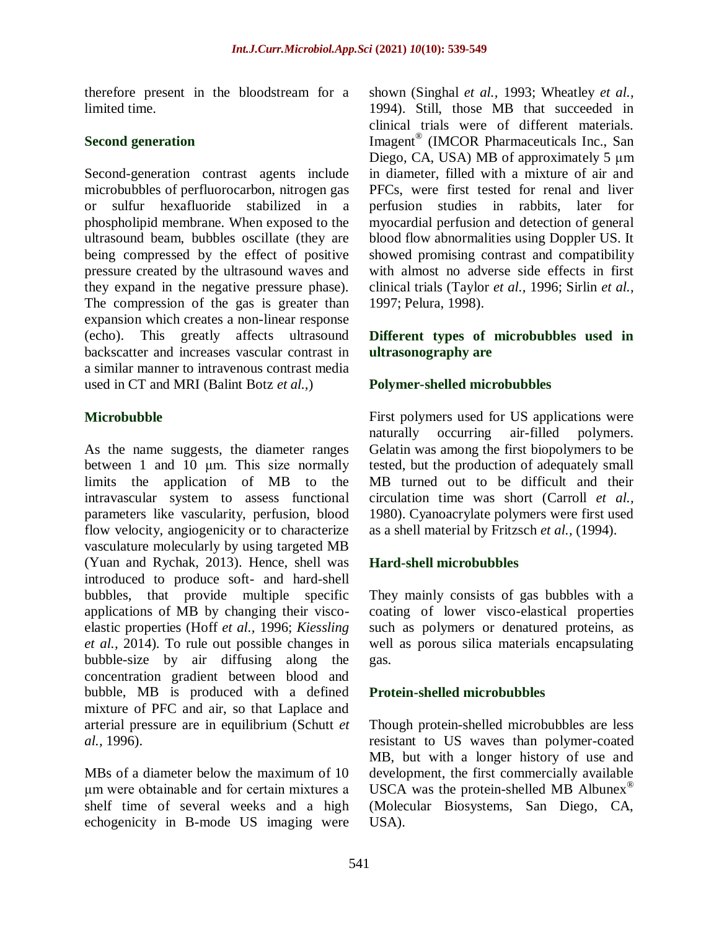therefore present in the bloodstream for a limited time.

## **Second generation**

Second-generation contrast agents include microbubbles of perfluorocarbon, [nitrogen gas](https://radiopaedia.org/articles/nitrogen?lang=us) or sulfur hexafluoride stabilized in a phospholipid membrane. When exposed to the ultrasound beam, bubbles oscillate (they are being compressed by the effect of positive pressure created by the ultrasound waves and they expand in the negative pressure phase). The compression of the gas is greater than expansion which creates a non-linear response (echo). This greatly affects ultrasound backscatter and increases vascular contrast in a similar manner to [intravenous contrast media](https://radiopaedia.org/articles/contrast-medium?lang=us) used in CT and MRI [\(Balint Botz](https://radiopaedia.org/users/balintbotz?lang=us) *et al.,*)

## **Microbubble**

As the name suggests, the diameter ranges between 1 and 10 μm. This size normally limits the application of MB to the intravascular system to assess functional parameters like vascularity, perfusion, blood flow velocity, angiogenicity or to characterize vasculature molecularly by using targeted MB [\(Yuan and Rychak, 2013\)](https://www.frontiersin.org/articles/10.3389/fphar.2015.00197/full#B148). Hence, shell was introduced to produce soft- and hard-shell bubbles, that provide multiple specific applications of MB by changing their viscoelastic properties (Hoff *[et al.,](https://www.frontiersin.org/articles/10.3389/fphar.2015.00197/full#B52)* 1996; *[Kiessling](https://www.frontiersin.org/articles/10.3389/fphar.2015.00197/full#B66)  [et al.,](https://www.frontiersin.org/articles/10.3389/fphar.2015.00197/full#B66)* 2014). To rule out possible changes in bubble-size by air diffusing along the concentration gradient between blood and bubble, MB is produced with a defined mixture of PFC and air, so that Laplace and arterial pressure are in equilibrium [\(Schutt](https://www.frontiersin.org/articles/10.3389/fphar.2015.00197/full#B112) *et al.,* [1996\)](https://www.frontiersin.org/articles/10.3389/fphar.2015.00197/full#B112).

MBs of a diameter below the maximum of 10 μm were obtainable and for certain mixtures a shelf time of several weeks and a high echogenicity in B-mode US imaging were shown [\(Singhal](https://www.frontiersin.org/articles/10.3389/fphar.2015.00197/full#B113) *et al.,* 1993; [Wheatley](https://www.frontiersin.org/articles/10.3389/fphar.2015.00197/full#B138) *et al.,* [1994\)](https://www.frontiersin.org/articles/10.3389/fphar.2015.00197/full#B138). Still, those MB that succeeded in clinical trials were of different materials. Imagent<sup>®</sup> (IMCOR Pharmaceuticals Inc., San Diego, CA, USA) MB of approximately 5 μm in diameter, filled with a mixture of air and PFCs, were first tested for renal and liver perfusion studies in rabbits, later for myocardial perfusion and detection of general blood flow abnormalities using Doppler US. It showed promising contrast and compatibility with almost no adverse side effects in first clinical trials [\(Taylor](https://www.frontiersin.org/articles/10.3389/fphar.2015.00197/full#B121) *et al.,* 1996; [Sirlin](https://www.frontiersin.org/articles/10.3389/fphar.2015.00197/full#B114) *et al.,*  [1997;](https://www.frontiersin.org/articles/10.3389/fphar.2015.00197/full#B114) [Pelura, 1998\)](https://www.frontiersin.org/articles/10.3389/fphar.2015.00197/full#B101).

#### **Different types of microbubbles used in ultrasonography are**

#### **Polymer-shelled microbubbles**

First polymers used for US applications were naturally occurring air-filled polymers. Gelatin was among the first biopolymers to be tested, but the production of adequately small MB turned out to be difficult and their circulation time was short [\(Carroll](https://www.frontiersin.org/articles/10.3389/fphar.2015.00197/full#B13) *et al.,*  [1980\)](https://www.frontiersin.org/articles/10.3389/fphar.2015.00197/full#B13). Cyanoacrylate polymers were first used as a shell material by [Fritzsch](https://www.frontiersin.org/articles/10.3389/fphar.2015.00197/full#B44) *et al.,* (1994).

## **Hard-shell microbubbles**

They mainly consists of gas bubbles with a coating of lower visco-elastical properties such as polymers or denatured proteins, as well as porous silica materials encapsulating gas.

#### **Protein-shelled microbubbles**

Though protein-shelled microbubbles are less resistant to US waves than polymer-coated MB, but with a longer history of use and development, the first commercially available USCA was the protein-shelled MB Albunex® (Molecular Biosystems, San Diego, CA, USA).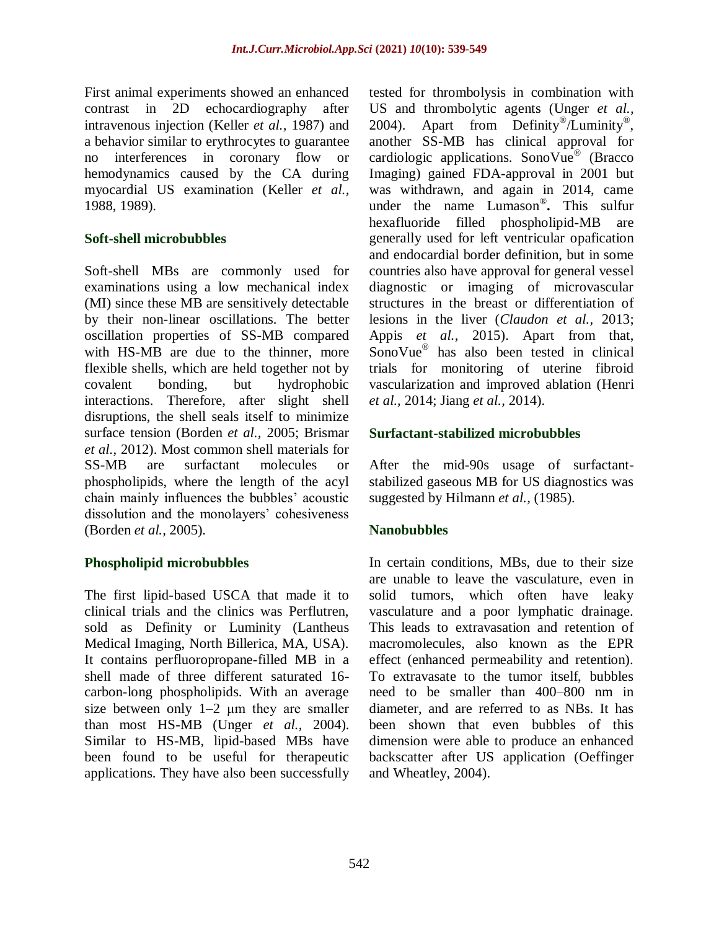First animal experiments showed an enhanced contrast in 2D echocardiography after intravenous injection [\(Keller](https://www.frontiersin.org/articles/10.3389/fphar.2015.00197/full#B61) *et al.,* 1987) and a behavior similar to erythrocytes to guarantee no interferences in coronary flow or hemodynamics caused by the CA during myocardial US examination (Keller *[et al.,](https://www.frontiersin.org/articles/10.3389/fphar.2015.00197/full#B62)*  [1988,](https://www.frontiersin.org/articles/10.3389/fphar.2015.00197/full#B62) [1989\)](https://www.frontiersin.org/articles/10.3389/fphar.2015.00197/full#B63).

#### **Soft-shell microbubbles**

Soft-shell MBs are commonly used for examinations using a low mechanical index (MI) since these MB are sensitively detectable by their non-linear oscillations. The better oscillation properties of SS-MB compared with HS-MB are due to the thinner, more flexible shells, which are held together not by covalent bonding, but hydrophobic interactions. Therefore, after slight shell disruptions, the shell seals itself to minimize surface tension [\(Borden](https://www.frontiersin.org/articles/10.3389/fphar.2015.00197/full#B10) *et al.,* 2005; [Brismar](https://www.frontiersin.org/articles/10.3389/fphar.2015.00197/full#B12)  *[et al.,](https://www.frontiersin.org/articles/10.3389/fphar.2015.00197/full#B12)* 2012). Most common shell materials for SS-MB are surfactant molecules or phospholipids, where the length of the acyl chain mainly influences the bubbles' acoustic dissolution and the monolayers' cohesiveness [\(Borden](https://www.frontiersin.org/articles/10.3389/fphar.2015.00197/full#B10) *et al.,* 2005).

## **Phospholipid microbubbles**

The first lipid-based USCA that made it to clinical trials and the clinics was Perflutren, sold as Definity or Luminity (Lantheus Medical Imaging, North Billerica, MA, USA). It contains perfluoropropane-filled MB in a shell made of three different saturated 16 carbon-long phospholipids. With an average size between only  $1-2$   $\mu$ m they are smaller than most HS-MB [\(Unger](https://www.frontiersin.org/articles/10.3389/fphar.2015.00197/full#B131) *et al.,* 2004). Similar to HS-MB, lipid-based MBs have been found to be useful for therapeutic applications. They have also been successfully tested for thrombolysis in combination with US and thrombolytic agents [\(Unger](https://www.frontiersin.org/articles/10.3389/fphar.2015.00197/full#B131) *et al.,* [2004\)](https://www.frontiersin.org/articles/10.3389/fphar.2015.00197/full#B131). Apart from Definity®/Luminity®, another SS-MB has clinical approval for cardiologic applications. SonoVue<sup>®</sup> (Bracco Imaging) gained FDA-approval in 2001 but was withdrawn, and again in 2014, came under the name Lumason® **.** This sulfur hexafluoride filled phospholipid-MB are generally used for left ventricular opafication and endocardial border definition, but in some countries also have approval for general vessel diagnostic or imaging of microvascular structures in the breast or differentiation of lesions in the liver (*[Claudon et al.,](https://www.frontiersin.org/articles/10.3389/fphar.2015.00197/full#B18)* 2013; Appis *[et al.,](https://www.frontiersin.org/articles/10.3389/fphar.2015.00197/full#B4)* 2015). Apart from that, SonoVue® has also been tested in clinical trials for monitoring of uterine fibroid vascularization and improved ablation [\(Henri](https://www.frontiersin.org/articles/10.3389/fphar.2015.00197/full#B49)  *[et al.,](https://www.frontiersin.org/articles/10.3389/fphar.2015.00197/full#B49)* 2014; Jiang *[et al.,](https://www.frontiersin.org/articles/10.3389/fphar.2015.00197/full#B59)* 2014).

#### **Surfactant-stabilized microbubbles**

After the mid-90s usage of surfactantstabilized gaseous MB for US diagnostics was suggested by [Hilmann](https://www.frontiersin.org/articles/10.3389/fphar.2015.00197/full#B51) *et al.,* (1985).

## **Nanobubbles**

In certain conditions, MBs, due to their size are unable to leave the vasculature, even in solid tumors, which often have leaky vasculature and a poor lymphatic drainage. This leads to extravasation and retention of macromolecules, also known as the EPR effect (enhanced permeability and retention). To extravasate to the tumor itself, bubbles need to be smaller than 400–800 nm in diameter, and are referred to as NBs. It has been shown that even bubbles of this dimension were able to produce an enhanced backscatter after US application [\(Oeffinger](https://www.frontiersin.org/articles/10.3389/fphar.2015.00197/full#B97)  [and Wheatley, 2004\)](https://www.frontiersin.org/articles/10.3389/fphar.2015.00197/full#B97).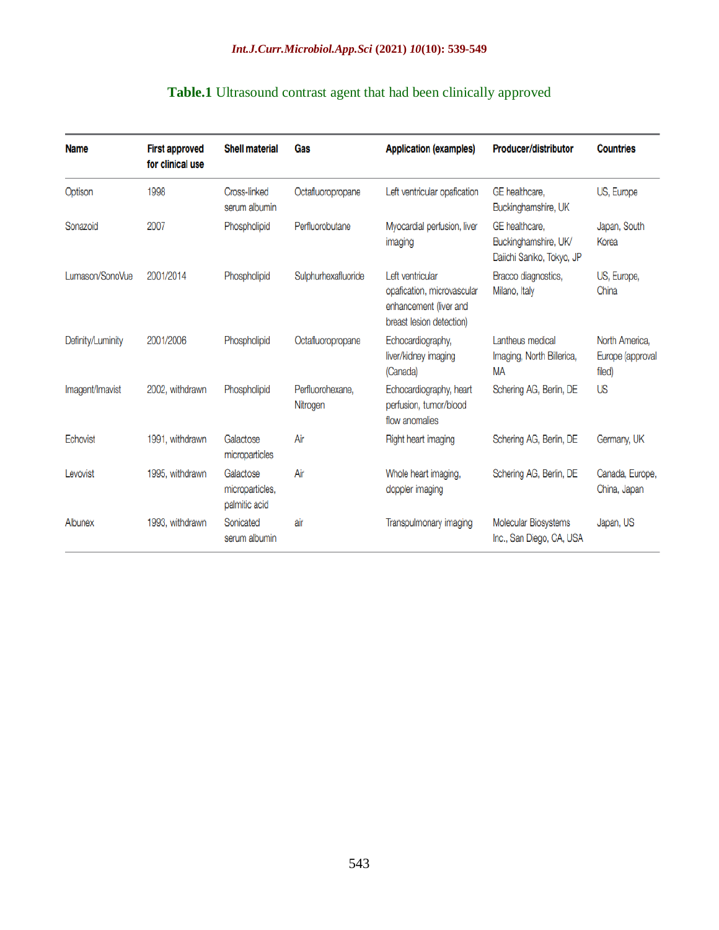| Table.1 Ultrasound contrast agent that had been clinically approved |  |  |  |
|---------------------------------------------------------------------|--|--|--|
|                                                                     |  |  |  |

| <b>Name</b>       | <b>First approved</b><br>for clinical use | <b>Shell material</b>                         | Gas                          | <b>Application (examples)</b>                                                                        | Producer/distributor                                                | <b>Countries</b>                             |
|-------------------|-------------------------------------------|-----------------------------------------------|------------------------------|------------------------------------------------------------------------------------------------------|---------------------------------------------------------------------|----------------------------------------------|
| Optison           | 1998                                      | Cross-linked<br>serum albumin                 | Octafluoropropane            | Left ventricular opafication                                                                         | GE healthcare.<br>Buckinghamshire, UK                               | US, Europe                                   |
| Sonazoid          | 2007                                      | Phospholipid                                  | Perfluorobutane              | Myocardial perfusion, liver<br>imaging                                                               | GE healthcare.<br>Buckinghamshire, UK/<br>Daiichi Saniko, Tokyo, JP | Japan, South<br>Korea                        |
| Lumason/SonoVue   | 2001/2014                                 | Phospholipid                                  | Sulphurhexafluoride          | Left ventricular<br>opafication, microvascular<br>enhancement (liver and<br>breast lesion detection) | Bracco diagnostics,<br>Milano, Italy                                | US, Europe,<br>China                         |
| Definity/Luminity | 2001/2006                                 | Phospholipid                                  | Octafluoropropane            | Echocardiography,<br>liver/kidney imaging<br>(Canada)                                                | Lantheus medical<br>Imaging, North Billerica,<br>MA                 | North America,<br>Europe (approval<br>filed) |
| Imagent/Imavist   | 2002, withdrawn                           | Phospholipid                                  | Perfluorohexane,<br>Nitrogen | Echocardiography, heart<br>perfusion, tumor/blood<br>flow anomalies                                  | Schering AG, Berlin, DE                                             | <b>US</b>                                    |
| Echovist          | 1991, withdrawn                           | Galactose<br>microparticles                   | Air                          | Right heart imaging                                                                                  | Schering AG, Berlin, DE                                             | Germany, UK                                  |
| Levovist          | 1995, withdrawn                           | Galactose<br>microparticles,<br>palmitic acid | Air                          | Whole heart imaging,<br>doppler imaging                                                              | Schering AG, Berlin, DE                                             | Canada, Europe,<br>China, Japan              |
| Albunex           | 1993, withdrawn                           | Sonicated<br>serum albumin                    | air                          | Transpulmonary imaging                                                                               | Molecular Biosystems<br>Inc., San Diego, CA, USA                    | Japan, US                                    |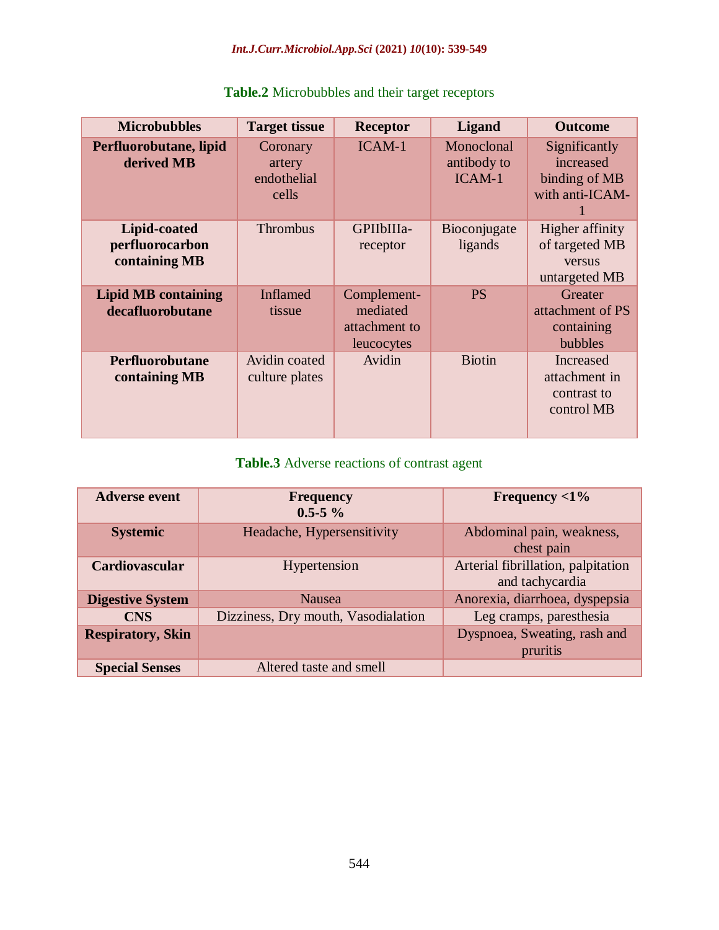| <b>Microbubbles</b>                              | <b>Target tissue</b>                       | <b>Receptor</b>                                        | <b>Ligand</b>                       | <b>Outcome</b>                                                 |
|--------------------------------------------------|--------------------------------------------|--------------------------------------------------------|-------------------------------------|----------------------------------------------------------------|
| Perfluorobutane, lipid<br>derived MB             | Coronary<br>artery<br>endothelial<br>cells | ICAM-1                                                 | Monoclonal<br>antibody to<br>ICAM-1 | Significantly<br>increased<br>binding of MB<br>with anti-ICAM- |
| Lipid-coated<br>perfluorocarbon<br>containing MB | <b>Thrombus</b>                            | GPIIbIIIa-<br>receptor                                 | Bioconjugate<br>ligands             | Higher affinity<br>of targeted MB<br>versus<br>untargeted MB   |
| <b>Lipid MB containing</b><br>decafluorobutane   | <b>Inflamed</b><br>tissue                  | Complement-<br>mediated<br>attachment to<br>leucocytes | <b>PS</b>                           | Greater<br>attachment of PS<br>containing<br>bubbles           |
| Perfluorobutane<br>containing MB                 | Avidin coated<br>culture plates            | Avidin                                                 | <b>Biotin</b>                       | Increased<br>attachment in<br>contrast to<br>control MB        |

# **Table.2** Microbubbles and their target receptors

# **Table.3** Adverse reactions of contrast agent

| <b>Adverse event</b>     | <b>Frequency</b><br>$0.5 - 5\%$     | Frequency $<$ 1%                                      |
|--------------------------|-------------------------------------|-------------------------------------------------------|
| <b>Systemic</b>          | Headache, Hypersensitivity          | Abdominal pain, weakness,<br>chest pain               |
| Cardiovascular           | Hypertension                        | Arterial fibrillation, palpitation<br>and tachycardia |
| <b>Digestive System</b>  | <b>Nausea</b>                       | Anorexia, diarrhoea, dyspepsia                        |
| <b>CNS</b>               | Dizziness, Dry mouth, Vasodialation | Leg cramps, paresthesia                               |
| <b>Respiratory, Skin</b> |                                     | Dyspnoea, Sweating, rash and<br>pruritis              |
| <b>Special Senses</b>    | Altered taste and smell             |                                                       |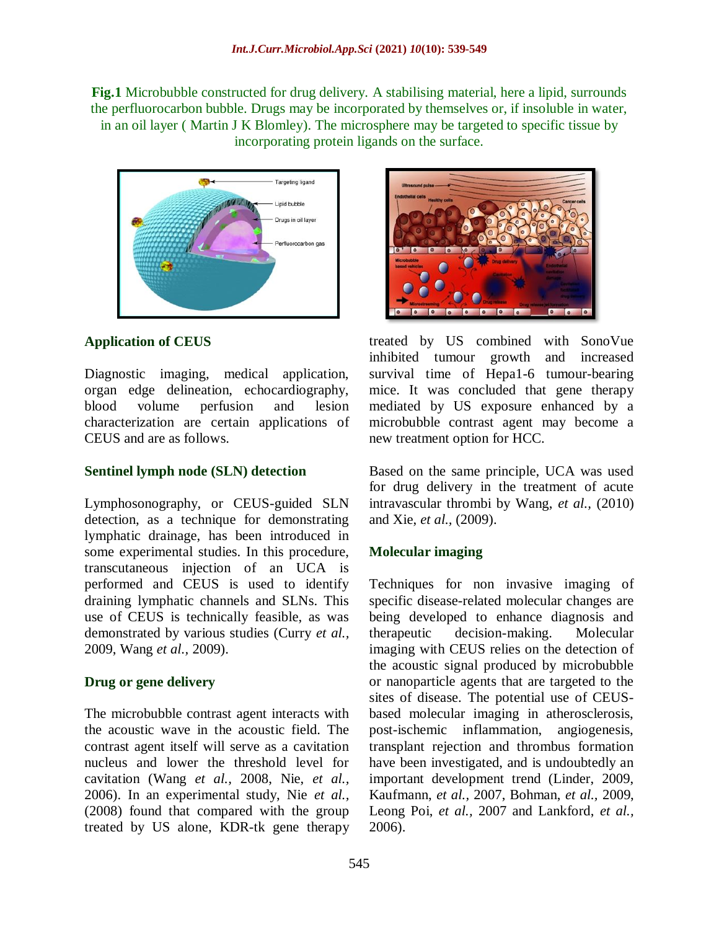**Fig.1** Microbubble constructed for drug delivery. A stabilising material, here a lipid, surrounds the perfluorocarbon bubble. Drugs may be incorporated by themselves or, if insoluble in water, in an oil layer ( [Martin J K Blomley\)](https://www.ncbi.nlm.nih.gov/pubmed/?term=Blomley%20MJ%5bAuthor%5d&cauthor=true&cauthor_uid=11358777). The microsphere may be targeted to specific tissue by incorporating protein ligands on the surface.



## **Application of CEUS**

Diagnostic imaging, medical application, organ edge delineation, echocardiography, blood volume perfusion and lesion characterization are certain applications of CEUS and are as follows.

#### **Sentinel lymph node (SLN) detection**

Lymphosonography, or CEUS-guided SLN detection, as a technique for demonstrating lymphatic drainage, has been introduced in some experimental studies. In this procedure, transcutaneous injection of an UCA is performed and CEUS is used to identify draining lymphatic channels and SLNs. This use of CEUS is technically feasible, as was demonstrated by various studies (Curry *et al.,* 2009, Wang *et al.,* 2009).

#### **Drug or gene delivery**

The microbubble contrast agent interacts with the acoustic wave in the acoustic field. The contrast agent itself will serve as a cavitation nucleus and lower the threshold level for cavitation (Wang *et al.,* 2008, Nie, *et al.,* 2006). In an experimental study, Nie *et al.,* (2008) found that compared with the group treated by US alone, KDR-tk gene therapy



treated by US combined with SonoVue inhibited tumour growth and increased survival time of Hepa1-6 tumour-bearing mice. It was concluded that gene therapy mediated by US exposure enhanced by a microbubble contrast agent may become a new treatment option for HCC.

Based on the same principle, UCA was used for drug delivery in the treatment of acute intravascular thrombi by Wang, *et al.,* (2010) and Xie, *et al.,* (2009).

## **Molecular imaging**

Techniques for non invasive imaging of specific disease-related molecular changes are being developed to enhance diagnosis and therapeutic decision-making. Molecular imaging with CEUS relies on the detection of the acoustic signal produced by microbubble or nanoparticle agents that are targeted to the sites of disease. The potential use of CEUSbased molecular imaging in atherosclerosis, post-ischemic inflammation, angiogenesis, transplant rejection and thrombus formation have been investigated, and is undoubtedly an important development trend (Linder, 2009, Kaufmann, *et al.,* 2007, Bohman, *et al.,* 2009, Leong Poi, *et al.,* 2007 and Lankford, *et al.,* 2006).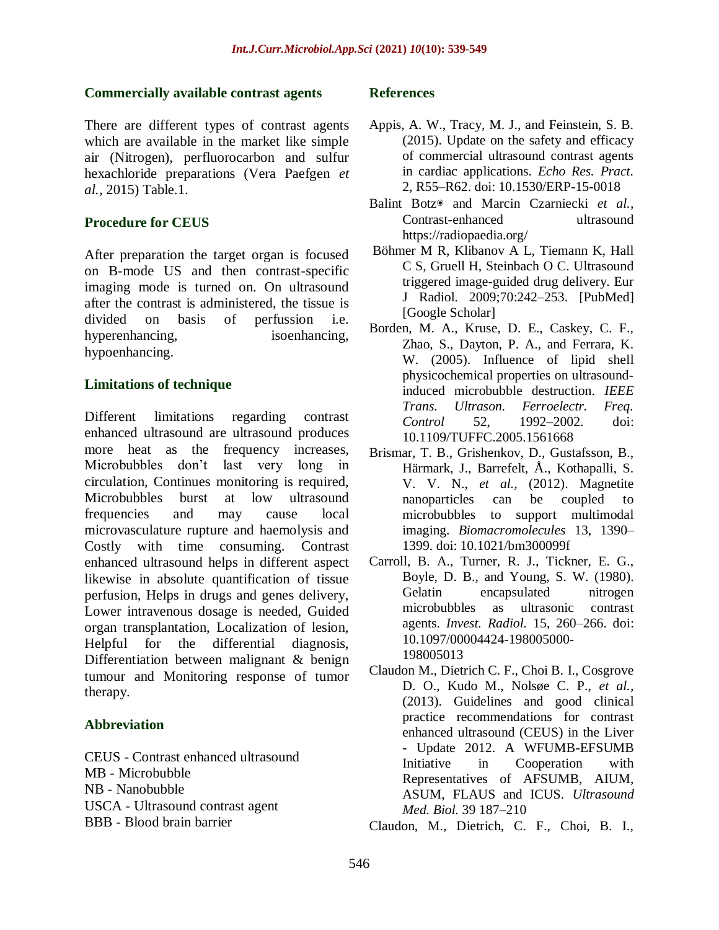#### **Commercially available contrast agents**

There are different types of contrast agents which are available in the market like simple air (Nitrogen), perfluorocarbon and sulfur hexachloride preparations (Vera Paefgen *et al.,* 2015) Table.1.

#### **Procedure for CEUS**

After preparation the target organ is focused on B-mode US and then contrast-specific imaging mode is turned on. On ultrasound after the contrast is administered, the tissue is divided on basis of perfussion i.e. hyperenhancing, isoenhancing, hypoenhancing.

#### **Limitations of technique**

Different limitations regarding contrast enhanced ultrasound are ultrasound produces more heat as the frequency increases, Microbubbles don't last very long in circulation, Continues monitoring is required, Microbubbles burst at low ultrasound frequencies and may cause local microvasculature rupture and haemolysis and Costly with time consuming. Contrast enhanced ultrasound helps in different aspect likewise in absolute quantification of tissue perfusion, Helps in drugs and genes delivery, Lower intravenous dosage is needed, Guided organ transplantation, Localization of lesion, Helpful for the differential diagnosis, Differentiation between malignant & benign tumour and Monitoring response of tumor therapy.

#### **Abbreviation**

CEUS - Contrast enhanced ultrasound MB - Microbubble NB - Nanobubble USCA - Ultrasound contrast agent BBB - Blood brain barrier

#### **References**

- Appis, A. W., Tracy, M. J., and Feinstein, S. B. (2015). Update on the safety and efficacy of commercial ultrasound contrast agents in cardiac applications. *Echo Res. Pract.* 2, R55–R62. doi: 10.1530/ERP-15-0018
- [Balint Botz](https://radiopaedia.org/users/balintbotz?lang=us)◉ and [Marcin Czarniecki](https://radiopaedia.org/users/mczarniecki?lang=us) *et al.,* Contrast-enhanced ultrasound <https://radiopaedia.org/>
- Böhmer M R, Klibanov A L, Tiemann K, Hall C S, Gruell H, Steinbach O C. Ultrasound triggered image-guided drug delivery. Eur J Radiol. 2009;70:242–253. [\[PubMed\]](https://www.ncbi.nlm.nih.gov/pubmed/19272727) [\[Google Scholar\]](https://scholar.google.com/scholar_lookup?journal=Eur+J+Radiol&title=Ultrasound+triggered+image-guided+drug+delivery&author=MR+B%C3%B6hmer&author=AL+Klibanov&author=K+Tiemann&author=CS+Hall&author=H+Gruell&volume=70&publication_year=2009&pages=242-253&pmid=19272727&)
- Borden, M. A., Kruse, D. E., Caskey, C. F., Zhao, S., Dayton, P. A., and Ferrara, K. W. (2005). Influence of lipid shell physicochemical properties on ultrasoundinduced microbubble destruction. *IEEE Trans. Ultrason. Ferroelectr. Freq. Control* 52, 1992–2002. doi: 10.1109/TUFFC.2005.1561668
- Brismar, T. B., Grishenkov, D., Gustafsson, B., Härmark, J., Barrefelt, Å., Kothapalli, S. V. V. N., *et al.,* (2012). Magnetite nanoparticles can be coupled to microbubbles to support multimodal imaging. *Biomacromolecules* 13, 1390– 1399. doi: 10.1021/bm300099f
- Carroll, B. A., Turner, R. J., Tickner, E. G., Boyle, D. B., and Young, S. W. (1980). Gelatin encapsulated nitrogen microbubbles as ultrasonic contrast agents. *Invest. Radiol.* 15, 260–266. doi: 10.1097/00004424-198005000- 198005013
- Claudon M., Dietrich C. F., Choi B. I., Cosgrove D. O., Kudo M., Nolsøe C. P., *et al.,* (2013). Guidelines and good clinical practice recommendations for contrast enhanced ultrasound (CEUS) in the Liver - Update 2012. A WFUMB-EFSUMB Initiative in Cooperation with Representatives of AFSUMB, AIUM, ASUM, FLAUS and ICUS. *Ultrasound Med. Biol.* 39 187–210
- Claudon, M., Dietrich, C. F., Choi, B. I.,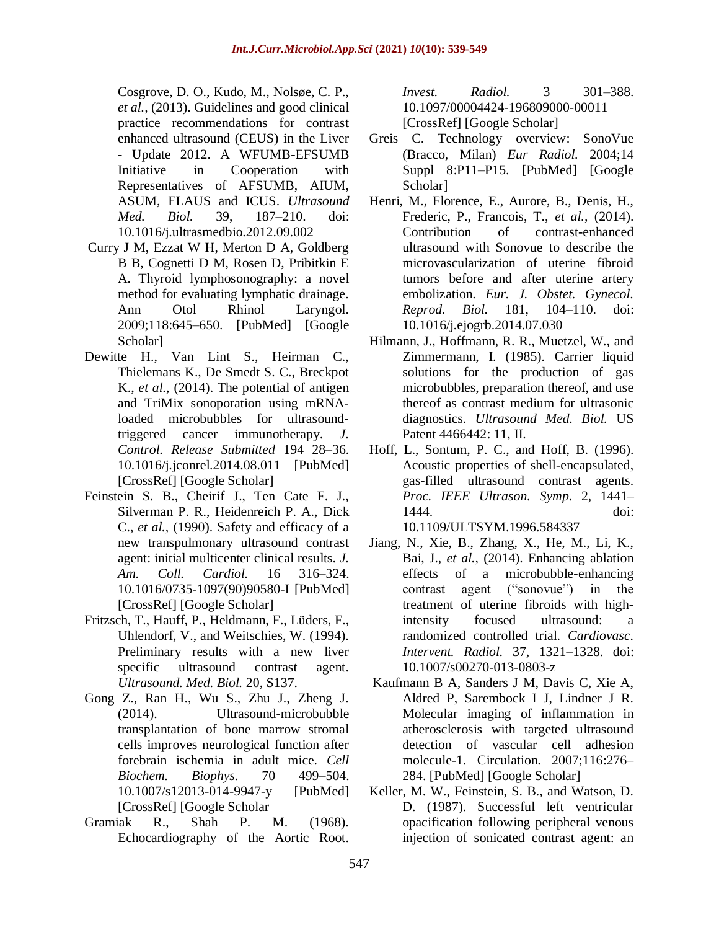Cosgrove, D. O., Kudo, M., Nolsøe, C. P., *et al.,* (2013). Guidelines and good clinical practice recommendations for contrast enhanced ultrasound (CEUS) in the Liver - Update 2012. A WFUMB-EFSUMB Initiative in Cooperation with Representatives of AFSUMB, AIUM, ASUM, FLAUS and ICUS. *Ultrasound Med. Biol.* 39, 187–210. doi: 10.1016/j.ultrasmedbio.2012.09.002

- Curry J M, Ezzat W H, Merton D A, Goldberg B B, Cognetti D M, Rosen D, Pribitkin E A. Thyroid lymphosonography: a novel method for evaluating lymphatic drainage. Ann Otol Rhinol Laryngol. 2009;118:645–650. [\[PubMed\]](https://www.ncbi.nlm.nih.gov/pubmed/19810605) [\[Google](https://scholar.google.com/scholar_lookup?journal=Ann+Otol+Rhinol+Laryngol&title=Thyroid+lymphosonography:+a+novel+method+for+evaluating+lymphatic+drainage&author=JM+Curry&author=WH+Ezzat&author=DA+Merton&author=BB+Goldberg&author=DM+Cognetti&volume=118&publication_year=2009&pages=645-650&pmid=19810605&)  [Scholar\]](https://scholar.google.com/scholar_lookup?journal=Ann+Otol+Rhinol+Laryngol&title=Thyroid+lymphosonography:+a+novel+method+for+evaluating+lymphatic+drainage&author=JM+Curry&author=WH+Ezzat&author=DA+Merton&author=BB+Goldberg&author=DM+Cognetti&volume=118&publication_year=2009&pages=645-650&pmid=19810605&)
- Dewitte H., Van Lint S., Heirman C., Thielemans K., De Smedt S. C., Breckpot K., *et al.,* (2014). The potential of antigen and TriMix sonoporation using mRNAloaded microbubbles for ultrasoundtriggered cancer immunotherapy. *J. Control. Release Submitted* 194 28–36. 10.1016/j.jconrel.2014.08.011 [\[PubMed\]](https://www.ncbi.nlm.nih.gov/pubmed/25151979) [\[CrossRef\]](https://dx.doi.org/10.1016%2Fj.jconrel.2014.08.011) [\[Google Scholar\]](https://scholar.google.com/scholar_lookup?journal=J.+Control.+Release+Submitted&title=The+potential+of+antigen+and+TriMix+sonoporation+using+mRNA-loaded+microbubbles+for+ultrasound-triggered+cancer+immunotherapy.&author=H.+Dewitte&author=S.+Van+Lint&author=C.+Heirman&author=K.+Thielemans&author=S.+C.+De+Smedt&volume=194&publication_year=2014&pages=28-36&doi=10.1016/j.jconrel.2014.08.011&)
- Feinstein S. B., Cheirif J., Ten Cate F. J., Silverman P. R., Heidenreich P. A., Dick C., *et al.,* (1990). Safety and efficacy of a new transpulmonary ultrasound contrast agent: initial multicenter clinical results. *J. Am. Coll. Cardiol.* 16 316–324. 10.1016/0735-1097(90)90580-I [\[PubMed\]](https://www.ncbi.nlm.nih.gov/pubmed/2197312) [\[CrossRef\]](https://dx.doi.org/10.1016%2F0735-1097(90)90580-I) [\[Google Scholar\]](https://scholar.google.com/scholar_lookup?journal=J.+Am.+Coll.+Cardiol.&title=Safety+and+efficacy+of+a+new+transpulmonary+ultrasound+contrast+agent:+initial+multicenter+clinical+results.&author=S.+B.+Feinstein&author=J.+Cheirif&author=F.+J.+Ten+Cate&author=P.+R.+Silverman&author=P.+A.+Heidenreich&volume=16&publication_year=1990&pages=316-324&pmid=2197312&doi=10.1016/0735-1097(90)90580-I&)
- Fritzsch, T., Hauff, P., Heldmann, F., Lüders, F., Uhlendorf, V., and Weitschies, W. (1994). Preliminary results with a new liver specific ultrasound contrast agent. *Ultrasound. Med. Biol.* 20, S137.
- Gong Z., Ran H., Wu S., Zhu J., Zheng J. (2014). Ultrasound-microbubble transplantation of bone marrow stromal cells improves neurological function after forebrain ischemia in adult mice. *Cell Biochem. Biophys.* 70 499–504. 10.1007/s12013-014-9947-y [\[PubMed\]](https://www.ncbi.nlm.nih.gov/pubmed/24728948) [\[CrossRef\]](https://dx.doi.org/10.1007%2Fs12013-014-9947-y) [\[Google Scholar](https://scholar.google.com/scholar_lookup?journal=Cell+Biochem.+Biophys.&title=Ultrasound-microbubble+transplantation+of+bone+marrow+stromal+cells+improves+neurological+function+after+forebrain+ischemia+in+adult+mice.&author=Z.+Gong&author=H.+Ran&author=S.+Wu&author=J.+Zhu&author=J.+Zheng&volume=70&publication_year=2014&pages=499-504&pmid=24728948&doi=10.1007/s12013-014-9947-y&)
- Gramiak R., Shah P. M. (1968). Echocardiography of the Aortic Root.

*Invest. Radiol.* 3 301–388. 10.1097/00004424-196809000-00011 [\[CrossRef\]](https://dx.doi.org/10.1097%2F00004424-196809000-00011) [\[Google Scholar\]](https://scholar.google.com/scholar_lookup?journal=Invest.+Radiol.&title=Echocardiography+of+the+Aortic+Root.&author=R.+Gramiak&author=P.+M.+Shah&volume=3&publication_year=1968&pages=301-388&pmid=5688340&doi=10.1097/00004424-196809000-00011&)

- Greis C. Technology overview: SonoVue (Bracco, Milan) *Eur Radiol.* 2004;14 Suppl 8:P11–P15. [\[PubMed\]](https://www.ncbi.nlm.nih.gov/pubmed/15700328) [\[Google](https://scholar.google.com/scholar_lookup?journal=Eur+Radiol&title=Technology+overview:+SonoVue+(Bracco,+Milan)&author=C+Greis&volume=14+Suppl+8&publication_year=2004&pages=P11-P15&pmid=15700328&)  [Scholar\]](https://scholar.google.com/scholar_lookup?journal=Eur+Radiol&title=Technology+overview:+SonoVue+(Bracco,+Milan)&author=C+Greis&volume=14+Suppl+8&publication_year=2004&pages=P11-P15&pmid=15700328&)
- Henri, M., Florence, E., Aurore, B., Denis, H., Frederic, P., Francois, T., *et al.,* (2014). Contribution of contrast-enhanced ultrasound with Sonovue to describe the microvascularization of uterine fibroid tumors before and after uterine artery embolization. *Eur. J. Obstet. Gynecol. Reprod. Biol.* 181, 104–110. doi: 10.1016/j.ejogrb.2014.07.030
- Hilmann, J., Hoffmann, R. R., Muetzel, W., and Zimmermann, I. (1985). Carrier liquid solutions for the production of gas microbubbles, preparation thereof, and use thereof as contrast medium for ultrasonic diagnostics. *Ultrasound Med. Biol.* US Patent 4466442: 11, II.
- Hoff, L., Sontum, P. C., and Hoff, B. (1996). Acoustic properties of shell-encapsulated, gas-filled ultrasound contrast agents. *Proc. IEEE Ultrason. Symp.* 2, 1441– 1444. doi: 10.1109/ULTSYM.1996.584337
- Jiang, N., Xie, B., Zhang, X., He, M., Li, K., Bai, J., *et al.,* (2014). Enhancing ablation effects of a microbubble-enhancing contrast agent ("sonovue") in the treatment of uterine fibroids with highintensity focused ultrasound: a randomized controlled trial. *Cardiovasc. Intervent. Radiol.* 37, 1321–1328. doi: 10.1007/s00270-013-0803-z
- Kaufmann B A, Sanders J M, Davis C, Xie A, Aldred P, Sarembock I J, Lindner J R. Molecular imaging of inflammation in atherosclerosis with targeted ultrasound detection of vascular cell adhesion molecule-1. Circulation. 2007;116:276– 284. [\[PubMed\]](https://www.ncbi.nlm.nih.gov/pubmed/17592078) [\[Google Scholar\]](https://scholar.google.com/scholar_lookup?journal=Circulation&title=Molecular+imaging+of+inflammation+in+atherosclerosis+with+targeted+ultrasound+detection+of+vascular+cell+adhesion+molecule-1&author=BA+Kaufmann&author=JM+Sanders&author=C+Davis&author=A+Xie&author=P+Aldred&volume=116&publication_year=2007&pages=276-284&pmid=17592078&)
- Keller, M. W., Feinstein, S. B., and Watson, D. D. (1987). Successful left ventricular opacification following peripheral venous injection of sonicated contrast agent: an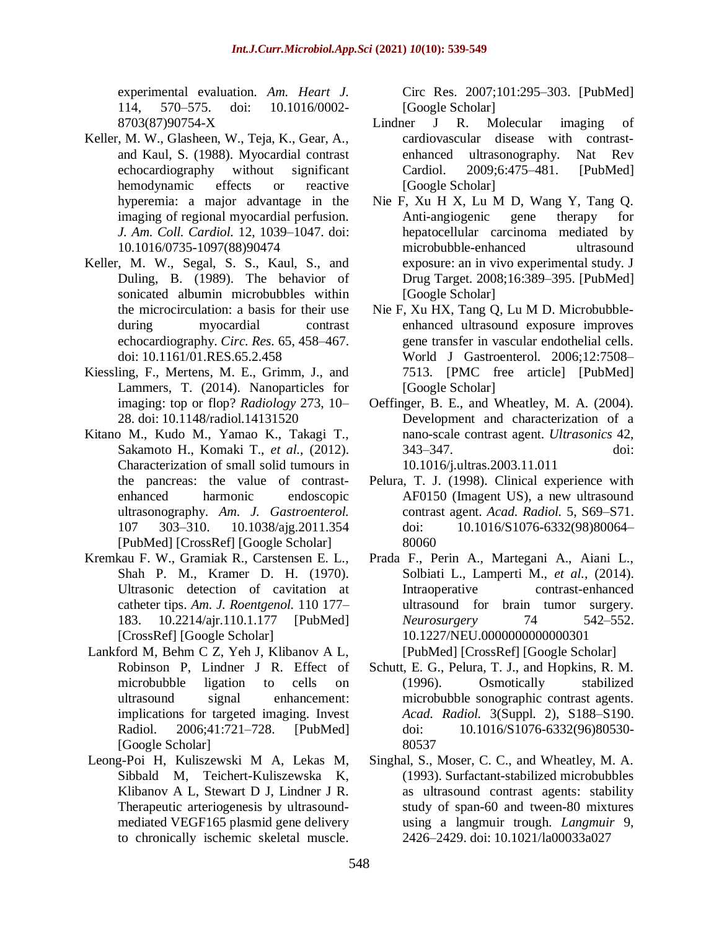experimental evaluation. *Am. Heart J.* 114, 570–575. doi: 10.1016/0002- 8703(87)90754-X

- Keller, M. W., Glasheen, W., Teja, K., Gear, A., and Kaul, S. (1988). Myocardial contrast echocardiography without significant hemodynamic effects or reactive hyperemia: a major advantage in the imaging of regional myocardial perfusion. *J. Am. Coll. Cardiol.* 12, 1039–1047. doi: 10.1016/0735-1097(88)90474
- Keller, M. W., Segal, S. S., Kaul, S., and Duling, B. (1989). The behavior of sonicated albumin microbubbles within the microcirculation: a basis for their use during myocardial contrast echocardiography. *Circ. Res.* 65, 458–467. doi: 10.1161/01.RES.65.2.458
- Kiessling, F., Mertens, M. E., Grimm, J., and Lammers, T. (2014). Nanoparticles for imaging: top or flop? *Radiology* 273, 10– 28. doi: 10.1148/radiol.14131520
- Kitano M., Kudo M., Yamao K., Takagi T., Sakamoto H., Komaki T., *et al.,* (2012). Characterization of small solid tumours in the pancreas: the value of contrastenhanced harmonic endoscopic ultrasonography. *Am. J. Gastroenterol.* 107 303–310. 10.1038/ajg.2011.354 [\[PubMed\]](https://www.ncbi.nlm.nih.gov/pubmed/22008892) [\[CrossRef\]](https://dx.doi.org/10.1038%2Fajg.2011.354) [\[Google Scholar\]](https://scholar.google.com/scholar_lookup?journal=Am.+J.+Gastroenterol.&title=Characterization+of+small+solid+tumors+in+the+pancreas:+the+value+of+contrast-enhanced+harmonic+endoscopic+ultrasonography.&author=M.+Kitano&author=M.+Kudo&author=K.+Yamao&author=T.+Takagi&author=H.+Sakamoto&volume=107&publication_year=2012&pages=303-310&pmid=22008892&doi=10.1038/ajg.2011.354&)
- Kremkau F. W., Gramiak R., Carstensen E. L., Shah P. M., Kramer D. H. (1970). Ultrasonic detection of cavitation at catheter tips. *Am. J. Roentgenol.* 110 177– 183. 10.2214/ajr.110.1.177 [\[PubMed\]](https://www.ncbi.nlm.nih.gov/pubmed/5466732) [\[CrossRef\]](https://dx.doi.org/10.2214%2Fajr.110.1.177) [\[Google Scholar\]](https://scholar.google.com/scholar_lookup?journal=Am.+J.+Roentgenol.&title=Ultrasonic+detection+of+cavitation+at+catheter+tips.&author=F.+W.+Kremkau&author=R.+Gramiak&author=E.+L.+Carstensen&author=P.+M.+Shah&author=D.+H.+Kramer&volume=110&publication_year=1970&pages=177-183&doi=10.2214/ajr.110.1.177&)
- Lankford M, Behm C Z, Yeh J, Klibanov A L, Robinson P, Lindner J R. Effect of microbubble ligation to cells on ultrasound signal enhancement: implications for targeted imaging. Invest Radiol. 2006;41:721–728. [\[PubMed\]](https://www.ncbi.nlm.nih.gov/pubmed/16971795) [\[Google Scholar\]](https://scholar.google.com/scholar_lookup?journal=Invest+Radiol&title=Effect+of+microbubble+ligation+to+cells+on+ultrasound+signal+enhancement:+implications+for+targeted+imaging&author=M+Lankford&author=CZ+Behm&author=J+Yeh&author=AL+Klibanov&author=P+Robinson&volume=41&publication_year=2006&pages=721-728&pmid=16971795&)
- Leong-Poi H, Kuliszewski M A, Lekas M, Sibbald M, Teichert-Kuliszewska K, Klibanov A L, Stewart D J, Lindner J R. Therapeutic arteriogenesis by ultrasoundmediated VEGF165 plasmid gene delivery to chronically ischemic skeletal muscle.

Circ Res. 2007;101:295–303. [\[PubMed\]](https://www.ncbi.nlm.nih.gov/pubmed/17585071) [\[Google Scholar\]](https://scholar.google.com/scholar_lookup?journal=Circ+Res&title=Therapeutic+arteriogenesis+by+ultrasound-mediated+VEGF165+plasmid+gene+delivery+to+chronically+ischemic+skeletal+muscle&author=H+Leong-Poi&author=MA+Kuliszewski&author=M+Lekas&author=M+Sibbald&author=K+Teichert-Kuliszewska&volume=101&publication_year=2007&pages=295-303&pmid=17585071&)

- Lindner J R. Molecular imaging of cardiovascular disease with contrastenhanced ultrasonography. Nat Rev Cardiol. 2009;6:475–481. [\[PubMed\]](https://www.ncbi.nlm.nih.gov/pubmed/19506587) [\[Google Scholar\]](https://scholar.google.com/scholar_lookup?journal=Nat+Rev+Cardiol&title=Molecular+imaging+of+cardiovascular+disease+with+contrast-enhanced+ultrasonography&author=JR+Lindner&volume=6&publication_year=2009&pages=475-481&pmid=19506587&)
- Nie F, Xu H X, Lu M D, Wang Y, Tang Q. Anti-angiogenic gene therapy for hepatocellular carcinoma mediated by microbubble-enhanced ultrasound exposure: an in vivo experimental study. J Drug Target. 2008;16:389–395. [\[PubMed\]](https://www.ncbi.nlm.nih.gov/pubmed/18569283) [\[Google Scholar\]](https://scholar.google.com/scholar_lookup?journal=J+Drug+Target&title=Anti-angiogenic+gene+therapy+for+hepatocellular+carcinoma+mediated+by+microbubble-enhanced+ultrasound+exposure:+an+in+vivo+experimental+study&author=F+Nie&author=HX+Xu&author=MD+Lu&author=Y+Wang&author=Q+Tang&volume=16&publication_year=2008&pages=389-395&pmid=18569283&)
- Nie F, Xu HX, Tang Q, Lu M D. Microbubbleenhanced ultrasound exposure improves gene transfer in vascular endothelial cells. World J Gastroenterol. 2006;12:7508– 7513. [\[PMC free article\]](https://www.ncbi.nlm.nih.gov/pmc/articles/PMC4087599/) [\[PubMed\]](https://www.ncbi.nlm.nih.gov/pubmed/17167842) [\[Google Scholar\]](https://scholar.google.com/scholar_lookup?journal=World+J+Gastroenterol&title=Microbubble-enhanced+ultrasound+exposure+improves+gene+transfer+in+vascular+endothelial+cells&author=F+Nie&author=HX+Xu&author=Q+Tang&author=MD+Lu&volume=12&publication_year=2006&pages=7508-7513&pmid=17167842&)
- Oeffinger, B. E., and Wheatley, M. A. (2004). Development and characterization of a nano-scale contrast agent. *Ultrasonics* 42, 343–347. doi: 10.1016/j.ultras.2003.11.011
- Pelura, T. J. (1998). Clinical experience with AF0150 (Imagent US), a new ultrasound contrast agent. *Acad. Radiol.* 5, S69–S71. doi: 10.1016/S1076-6332(98)80064– 80060
- Prada F., Perin A., Martegani A., Aiani L., Solbiati L., Lamperti M., *et al.,* (2014). Intraoperative contrast-enhanced ultrasound for brain tumor surgery. *Neurosurgery* 74 542–552. 10.1227/NEU.0000000000000301 [\[PubMed\]](https://www.ncbi.nlm.nih.gov/pubmed/24598809) [\[CrossRef\]](https://dx.doi.org/10.1227%2FNEU.0000000000000301) [\[Google Scholar\]](https://scholar.google.com/scholar_lookup?journal=Neurosurgery&title=Intraoperative+contrast-enhanced+ultrasound+for+brain+tumor+surgery.&author=F.+Prada&author=A.+Perin&author=A.+Martegani&author=L.+Aiani&author=L.+Solbiati&volume=74&publication_year=2014&pages=542-552&pmid=24598809&doi=10.1227/NEU.0000000000000301&)
- Schutt, E. G., Pelura, T. J., and Hopkins, R. M. (1996). Osmotically stabilized microbubble sonographic contrast agents. *Acad. Radiol.* 3(Suppl. 2), S188–S190. doi: 10.1016/S1076-6332(96)80530- 80537
- Singhal, S., Moser, C. C., and Wheatley, M. A. (1993). Surfactant-stabilized microbubbles as ultrasound contrast agents: stability study of span-60 and tween-80 mixtures using a langmuir trough. *Langmuir* 9, 2426–2429. doi: 10.1021/la00033a027